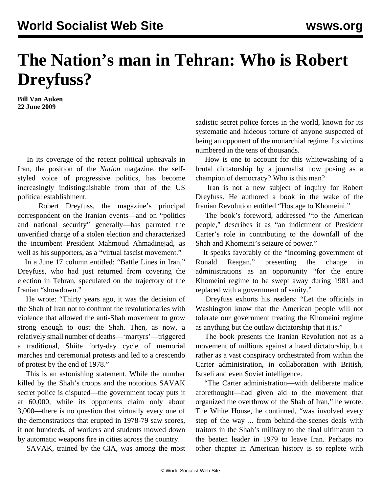## **The Nation's man in Tehran: Who is Robert Dreyfuss?**

**Bill Van Auken 22 June 2009**

 In its coverage of the recent political upheavals in Iran, the position of the *Nation* magazine, the selfstyled voice of progressive politics, has become increasingly indistinguishable from that of the US political establishment.

 Robert Dreyfuss, the magazine's principal correspondent on the Iranian events—and on "politics and national security" generally—has parroted the unverified charge of a stolen election and characterized the incumbent President Mahmoud Ahmadinejad, as well as his supporters, as a "virtual fascist movement."

 In a June 17 column entitled: "Battle Lines in Iran," Dreyfuss, who had just returned from covering the election in Tehran, speculated on the trajectory of the Iranian "showdown."

 He wrote: "Thirty years ago, it was the decision of the Shah of Iran not to confront the revolutionaries with violence that allowed the anti-Shah movement to grow strong enough to oust the Shah. Then, as now, a relatively small number of deaths—'martyrs'—triggered a traditional, Shiite forty-day cycle of memorial marches and ceremonial protests and led to a crescendo of protest by the end of 1978."

 This is an astonishing statement. While the number killed by the Shah's troops and the notorious SAVAK secret police is disputed—the government today puts it at 60,000, while its opponents claim only about 3,000—there is no question that virtually every one of the demonstrations that erupted in 1978-79 saw scores, if not hundreds, of workers and students mowed down by automatic weapons fire in cities across the country.

SAVAK, trained by the CIA, was among the most

sadistic secret police forces in the world, known for its systematic and hideous torture of anyone suspected of being an opponent of the monarchial regime. Its victims numbered in the tens of thousands.

 How is one to account for this whitewashing of a brutal dictatorship by a journalist now posing as a champion of democracy? Who is this man?

 Iran is not a new subject of inquiry for Robert Dreyfuss. He authored a book in the wake of the Iranian Revolution entitled ["Hostage to Khomeini.](http://ia351424.us.archive.org/1/items/HostageToKhomeini/hostage.pdf)"

 The book's foreword, addressed "to the American people," describes it as "an indictment of President Carter's role in contributing to the downfall of the Shah and Khomeini's seizure of power."

 It speaks favorably of the "incoming government of Ronald Reagan," presenting the change in administrations as an opportunity "for the entire Khomeini regime to be swept away during 1981 and replaced with a government of sanity."

 Dreyfuss exhorts his readers: "Let the officials in Washington know that the American people will not tolerate our government treating the Khomeini regime as anything but the outlaw dictatorship that it is."

 The book presents the Iranian Revolution not as a movement of millions against a hated dictatorship, but rather as a vast conspiracy orchestrated from within the Carter administration, in collaboration with British, Israeli and even Soviet intelligence.

 "The Carter administration—with deliberate malice aforethought—had given aid to the movement that organized the overthrow of the Shah of Iran," he wrote. The White House, he continued, "was involved every step of the way ... from behind-the-scenes deals with traitors in the Shah's military to the final ultimatum to the beaten leader in 1979 to leave Iran. Perhaps no other chapter in American history is so replete with